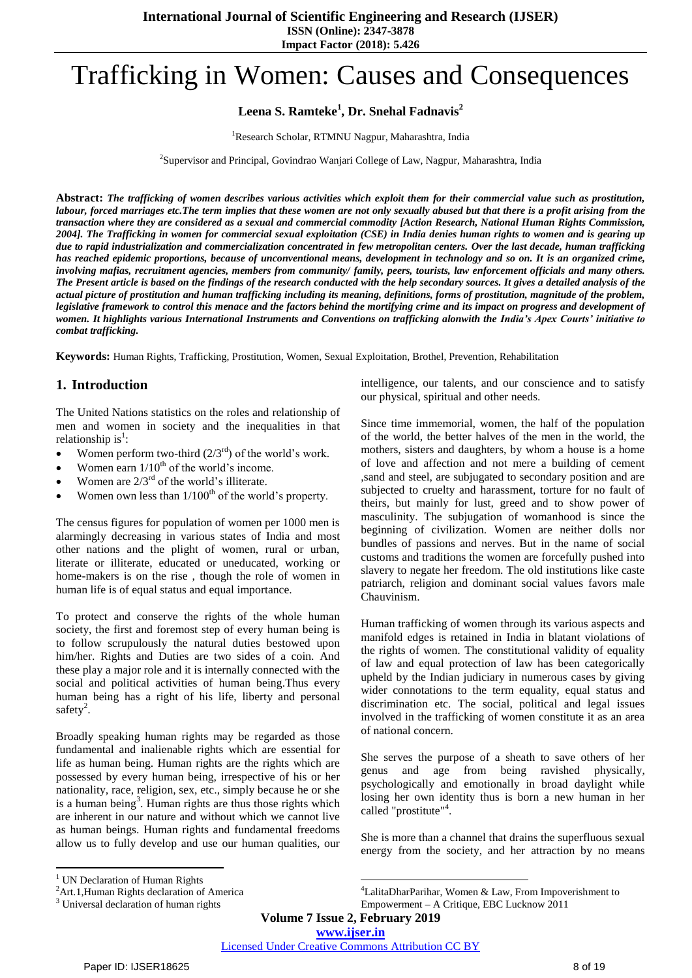# Trafficking in Women: Causes and Consequences

# **Leena S. Ramteke<sup>1</sup> , Dr. Snehal Fadnavis<sup>2</sup>**

#### <sup>1</sup>Research Scholar, RTMNU Nagpur, Maharashtra, India

<sup>2</sup>Supervisor and Principal, Govindrao Wanjari College of Law, Nagpur, Maharashtra, India

**Abstract:** *The trafficking of women describes various activities which exploit them for their commercial value such as prostitution, labour, forced marriages etc.The term implies that these women are not only sexually abused but that there is a profit arising from the transaction where they are considered as a sexual and commercial commodity [Action Research, National Human Rights Commission, 2004]. The Trafficking in women for commercial sexual exploitation (CSE) in India denies human rights to women and is gearing up due to rapid industrialization and commercialization concentrated in few metropolitan centers. Over the last decade, human trafficking has reached epidemic proportions, because of unconventional means, development in technology and so on. It is an organized crime, involving mafias, recruitment agencies, members from community/ family, peers, tourists, law enforcement officials and many others. The Present article is based on the findings of the research conducted with the help secondary sources. It gives a detailed analysis of the actual picture of prostitution and human trafficking including its meaning, definitions, forms of prostitution, magnitude of the problem, legislative framework to control this menace and the factors behind the mortifying crime and its impact on progress and development of women. It highlights various International Instruments and Conventions on trafficking alonwith the India's Apex Courts' initiative to combat trafficking.*

**Keywords:** Human Rights, Trafficking, Prostitution, Women, Sexual Exploitation, Brothel, Prevention, Rehabilitation

# **1. Introduction**

The United Nations statistics on the roles and relationship of men and women in society and the inequalities in that relationship is<sup>1</sup>:

- Women perform two-third  $(2/3<sup>rd</sup>)$  of the world's work.
- Women earn  $1/10^{th}$  of the world's income.
- Women are  $2/3^{rd}$  of the world's illiterate.
- Women own less than  $1/100<sup>th</sup>$  of the world's property.

The census figures for population of women per 1000 men is alarmingly decreasing in various states of India and most other nations and the plight of women, rural or urban, literate or illiterate, educated or uneducated, working or home-makers is on the rise , though the role of women in human life is of equal status and equal importance.

To protect and conserve the rights of the whole human society, the first and foremost step of every human being is to follow scrupulously the natural duties bestowed upon him/her. Rights and Duties are two sides of a coin. And these play a major role and it is internally connected with the social and political activities of human being.Thus every human being has a right of his life, liberty and personal safety<sup>2</sup>.

Broadly speaking human rights may be regarded as those fundamental and inalienable rights which are essential for life as human being. Human rights are the rights which are possessed by every human being, irrespective of his or her nationality, race, religion, sex, etc., simply because he or she is a human being<sup>3</sup>. Human rights are thus those rights which are inherent in our nature and without which we cannot live as human beings. Human rights and fundamental freedoms allow us to fully develop and use our human qualities, our

intelligence, our talents, and our conscience and to satisfy our physical, spiritual and other needs.

Since time immemorial, women, the half of the population of the world, the better halves of the men in the world, the mothers, sisters and daughters, by whom a house is a home of love and affection and not mere a building of cement ,sand and steel, are subjugated to secondary position and are subjected to cruelty and harassment, torture for no fault of theirs, but mainly for lust, greed and to show power of masculinity. The subjugation of womanhood is since the beginning of civilization. Women are neither dolls nor bundles of passions and nerves. But in the name of social customs and traditions the women are forcefully pushed into slavery to negate her freedom. The old institutions like caste patriarch, religion and dominant social values favors male Chauvinism.

Human trafficking of women through its various aspects and manifold edges is retained in India in blatant violations of the rights of women. The constitutional validity of equality of law and equal protection of law has been categorically upheld by the Indian judiciary in numerous cases by giving wider connotations to the term equality, equal status and discrimination etc. The social, political and legal issues involved in the trafficking of women constitute it as an area of national concern.

She serves the purpose of a sheath to save others of her genus and age from being ravished physically, psychologically and emotionally in broad daylight while losing her own identity thus is born a new human in her called "prostitute"<sup>4</sup>.

She is more than a channel that drains the superfluous sexual energy from the society, and her attraction by no means

 $\overline{a}$ 

 $\overline{\phantom{a}}$ <sup>4</sup>LalitaDharParihar, Women & Law, From Impoverishment to Empowerment – A Critique, EBC Lucknow 2011

**Volume 7 Issue 2, February 2019**

**www.ijser.in**

<sup>&</sup>lt;sup>1</sup> UN Declaration of Human Rights

<sup>&</sup>lt;sup>2</sup>Art.1, Human Rights declaration of America

<sup>&</sup>lt;sup>3</sup> Universal declaration of human rights

Licensed Under Creative Commons Attribution CC BY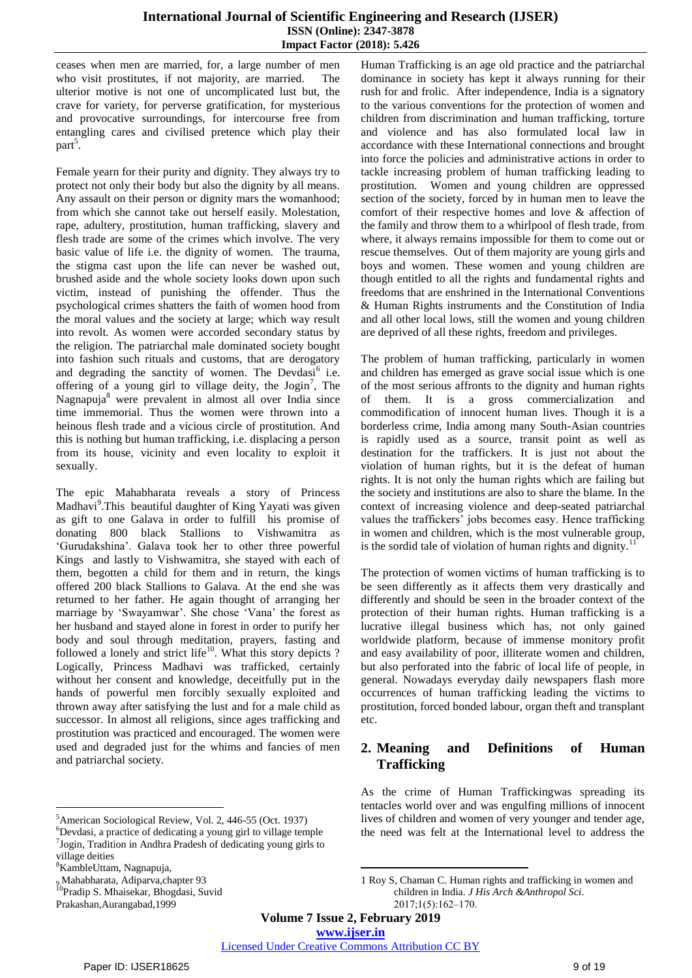ceases when men are married, for, a large number of men who visit prostitutes, if not majority, are married. The ulterior motive is not one of uncomplicated lust but, the crave for variety, for perverse gratification, for mysterious and provocative surroundings, for intercourse free from entangling cares and civilised pretence which play their part<sup>5</sup>.

Female yearn for their purity and dignity. They always try to protect not only their body but also the dignity by all means. Any assault on their person or dignity mars the womanhood; from which she cannot take out herself easily. Molestation, rape, adultery, prostitution, human trafficking, slavery and flesh trade are some of the crimes which involve. The very basic value of life i.e. the dignity of women. The trauma, the stigma cast upon the life can never be washed out, brushed aside and the whole society looks down upon such victim, instead of punishing the offender. Thus the psychological crimes shatters the faith of women hood from the moral values and the society at large; which way result into revolt. As women were accorded secondary status by the religion. The patriarchal male dominated society bought into fashion such rituals and customs, that are derogatory and degrading the sanctity of women. The Devdasi<sup>6</sup> i.e. offering of a young girl to village deity, the  $Jogin^7$ , The Nagnapuja<sup>8</sup> were prevalent in almost all over India since time immemorial. Thus the women were thrown into a heinous flesh trade and a vicious circle of prostitution. And this is nothing but human trafficking, i.e. displacing a person from its house, vicinity and even locality to exploit it sexually.

The epic Mahabharata reveals a story of Princess Madhavi<sup>9</sup>. This beautiful daughter of King Yayati was given as gift to one Galava in order to fulfill his promise of donating 800 black Stallions to Vishwamitra as ‗Gurudakshina'. Galava took her to other three powerful Kings and lastly to Vishwamitra, she stayed with each of them, begotten a child for them and in return, the kings offered 200 black Stallions to Galava. At the end she was returned to her father. He again thought of arranging her marriage by 'Swayamwar'. She chose 'Vana' the forest as her husband and stayed alone in forest in order to purify her body and soul through meditation, prayers, fasting and followed a lonely and strict life $10$ . What this story depicts ? Logically, Princess Madhavi was trafficked, certainly without her consent and knowledge, deceitfully put in the hands of powerful men forcibly sexually exploited and thrown away after satisfying the lust and for a male child as successor. In almost all religions, since ages trafficking and prostitution was practiced and encouraged. The women were used and degraded just for the whims and fancies of men and patriarchal society.

<sup>5</sup>American Sociological Review, Vol. 2, 446-55 (Oct. 1937)

 $\overline{a}$ 

9.Mahabharata, Adiparva,chapter 93

<sup>10</sup>Pradip S. Mhaisekar, Bhogdasi, Suvid Prakashan,Aurangabad,1999

Human Trafficking is an age old practice and the patriarchal dominance in society has kept it always running for their rush for and frolic. After independence, India is a signatory to the various conventions for the protection of women and children from discrimination and human trafficking, torture and violence and has also formulated local law in accordance with these International connections and brought into force the policies and administrative actions in order to tackle increasing problem of human trafficking leading to prostitution. Women and young children are oppressed section of the society, forced by in human men to leave the comfort of their respective homes and love & affection of the family and throw them to a whirlpool of flesh trade, from where, it always remains impossible for them to come out or rescue themselves. Out of them majority are young girls and boys and women. These women and young children are though entitled to all the rights and fundamental rights and freedoms that are enshrined in the International Conventions & Human Rights instruments and the Constitution of India and all other local lows, still the women and young children are deprived of all these rights, freedom and privileges.

The problem of human trafficking, particularly in women and children has emerged as grave social issue which is one of the most serious affronts to the dignity and human rights of them. It is a gross commercialization and commodification of innocent human lives. Though it is a borderless crime, India among many South-Asian countries is rapidly used as a source, transit point as well as destination for the traffickers. It is just not about the violation of human rights, but it is the defeat of human rights. It is not only the human rights which are failing but the society and institutions are also to share the blame. In the context of increasing violence and deep-seated patriarchal values the traffickers' jobs becomes easy. Hence trafficking in women and children, which is the most vulnerable group, is the sordid tale of violation of human rights and dignity.

The protection of women victims of human trafficking is to be seen differently as it affects them very drastically and differently and should be seen in the broader context of the protection of their human rights. Human trafficking is a lucrative illegal business which has, not only gained worldwide platform, because of immense monitory profit and easy availability of poor, illiterate women and children, but also perforated into the fabric of local life of people, in general. Nowadays everyday daily newspapers flash more occurrences of human trafficking leading the victims to prostitution, forced bonded labour, organ theft and transplant etc.

# **2. Meaning and Definitions of Human Trafficking**

As the crime of Human Traffickingwas spreading its tentacles world over and was engulfing millions of innocent lives of children and women of very younger and tender age, the need was felt at the International level to address the

**Volume 7 Issue 2, February 2019**

**www.ijser.in** Licensed Under Creative Commons Attribution CC BY

**.** 

<sup>&</sup>lt;sup>6</sup>Devdasi, a practice of dedicating a young girl to village temple 7 Jogin, Tradition in Andhra Pradesh of dedicating young girls to

village deities

<sup>8</sup>KambleUttam, Nagnapuja,

<sup>1</sup> Roy S, Chaman C. Human rights and trafficking in women and children in India. *J His Arch &Anthropol Sci*. 2017;1(5):162‒170.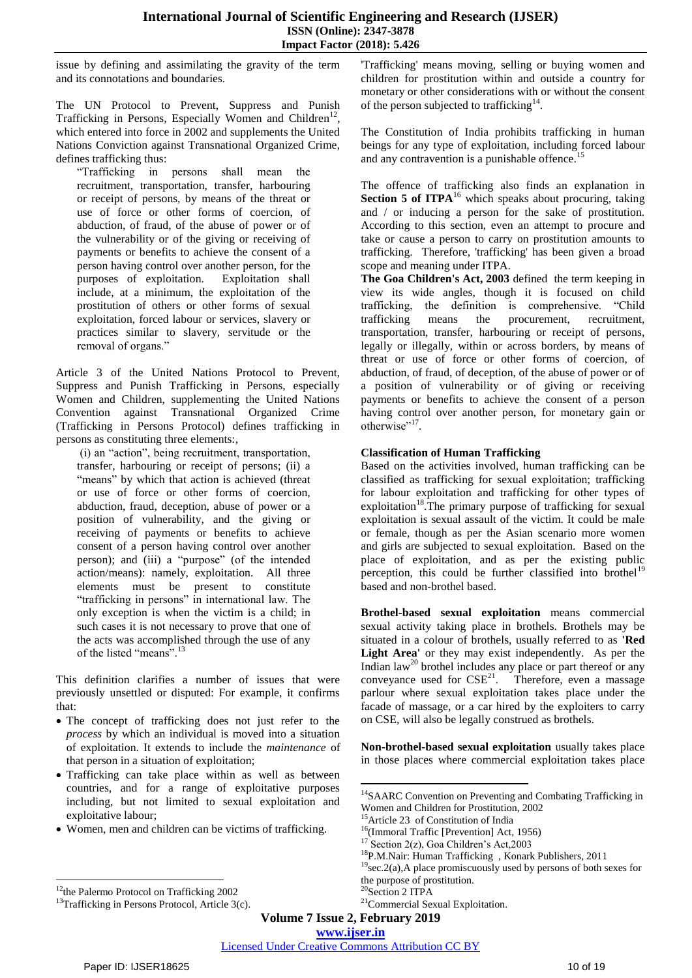issue by defining and assimilating the gravity of the term and its connotations and boundaries.

The UN Protocol to Prevent, Suppress and Punish Trafficking in Persons, Especially Women and Children<sup>12</sup>, which entered into force in 2002 and supplements the United Nations Conviction against Transnational Organized Crime, defines trafficking thus:

―Trafficking in persons shall mean the recruitment, transportation, transfer, harbouring or receipt of persons, by means of the threat or use of force or other forms of coercion, of abduction, of fraud, of the abuse of power or of the vulnerability or of the giving or receiving of payments or benefits to achieve the consent of a person having control over another person, for the purposes of exploitation. Exploitation shall include, at a minimum, the exploitation of the prostitution of others or other forms of sexual exploitation, forced labour or services, slavery or practices similar to slavery, servitude or the removal of organs."

Article 3 of the United Nations Protocol to Prevent, Suppress and Punish Trafficking in Persons, especially Women and Children, supplementing the United Nations Convention against Transnational Organized Crime (Trafficking in Persons Protocol) defines trafficking in persons as constituting three elements:,

 $(i)$  an "action", being recruitment, transportation, transfer, harbouring or receipt of persons; (ii) a "means" by which that action is achieved (threat or use of force or other forms of coercion, abduction, fraud, deception, abuse of power or a position of vulnerability, and the giving or receiving of payments or benefits to achieve consent of a person having control over another person); and (iii) a "purpose" (of the intended action/means): namely, exploitation. All three elements must be present to constitute "trafficking in persons" in international law. The only exception is when the victim is a child; in such cases it is not necessary to prove that one of the acts was accomplished through the use of any of the listed "means".<sup>13</sup>

This definition clarifies a number of issues that were previously unsettled or disputed: For example, it confirms that:

- The concept of trafficking does not just refer to the *process* by which an individual is moved into a situation of exploitation. It extends to include the *maintenance* of that person in a situation of exploitation;
- Trafficking can take place within as well as between countries, and for a range of exploitative purposes including, but not limited to sexual exploitation and exploitative labour;
- Women, men and children can be victims of trafficking.

'Trafficking' means moving, selling or buying women and children for prostitution within and outside a country for monetary or other considerations with or without the consent of the person subjected to trafficking<sup>14</sup>.

The Constitution of India prohibits trafficking in human beings for any type of exploitation, including forced labour and any contravention is a punishable offence.<sup>15</sup>

The offence of trafficking also finds an explanation in **Section 5 of ITPA**<sup>16</sup> which speaks about procuring, taking and / or inducing a person for the sake of prostitution. According to this section, even an attempt to procure and take or cause a person to carry on prostitution amounts to trafficking. Therefore, 'trafficking' has been given a broad scope and meaning under ITPA.

**The Goa Children's Act, 2003** defined the term keeping in view its wide angles, though it is focused on child trafficking, the definition is comprehensive. "Child trafficking means the procurement, recruitment, transportation, transfer, harbouring or receipt of persons, legally or illegally, within or across borders, by means of threat or use of force or other forms of coercion, of abduction, of fraud, of deception, of the abuse of power or of a position of vulnerability or of giving or receiving payments or benefits to achieve the consent of a person having control over another person, for monetary gain or otherwise"<sup>17</sup>.

## **Classification of Human Trafficking**

Based on the activities involved, human trafficking can be classified as trafficking for sexual exploitation; trafficking for labour exploitation and trafficking for other types of exploitation<sup>18</sup>.The primary purpose of trafficking for sexual exploitation is sexual assault of the victim. It could be male or female, though as per the Asian scenario more women and girls are subjected to sexual exploitation. Based on the place of exploitation, and as per the existing public perception, this could be further classified into brothel<sup>19</sup> based and non-brothel based.

**Brothel-based sexual exploitation** means commercial sexual activity taking place in brothels. Brothels may be situated in a colour of brothels, usually referred to as **'Red Light Area'** or they may exist independently. As per the Indian law<sup>20</sup> brothel includes any place or part thereof or any conveyance used for  $CSE^{21}$ . Therefore, even a massage parlour where sexual exploitation takes place under the facade of massage, or a car hired by the exploiters to carry on CSE, will also be legally construed as brothels.

**Non-brothel-based sexual exploitation** usually takes place in those places where commercial exploitation takes place

**Volume 7 Issue 2, February 2019**

**.** 

 $\overline{a}$ <sup>12</sup>the Palermo Protocol on Trafficking 2002

 $13$ Trafficking in Persons Protocol, Article 3(c).

<sup>&</sup>lt;sup>14</sup>SAARC Convention on Preventing and Combating Trafficking in Women and Children for Prostitution, 2002

<sup>15</sup>Article 23 of Constitution of India

<sup>&</sup>lt;sup>16</sup>(Immoral Traffic [Prevention] Act, 1956)

 $17$  Section 2(z), Goa Children's Act, 2003

<sup>18</sup>P.M.Nair: Human Trafficking , Konark Publishers, 2011

 $19$ sec.2(a),A place promiscuously used by persons of both sexes for the purpose of prostitution.

<sup>20</sup>Section 2 ITPA

<sup>&</sup>lt;sup>21</sup>Commercial Sexual Exploitation.

**www.ijser.in**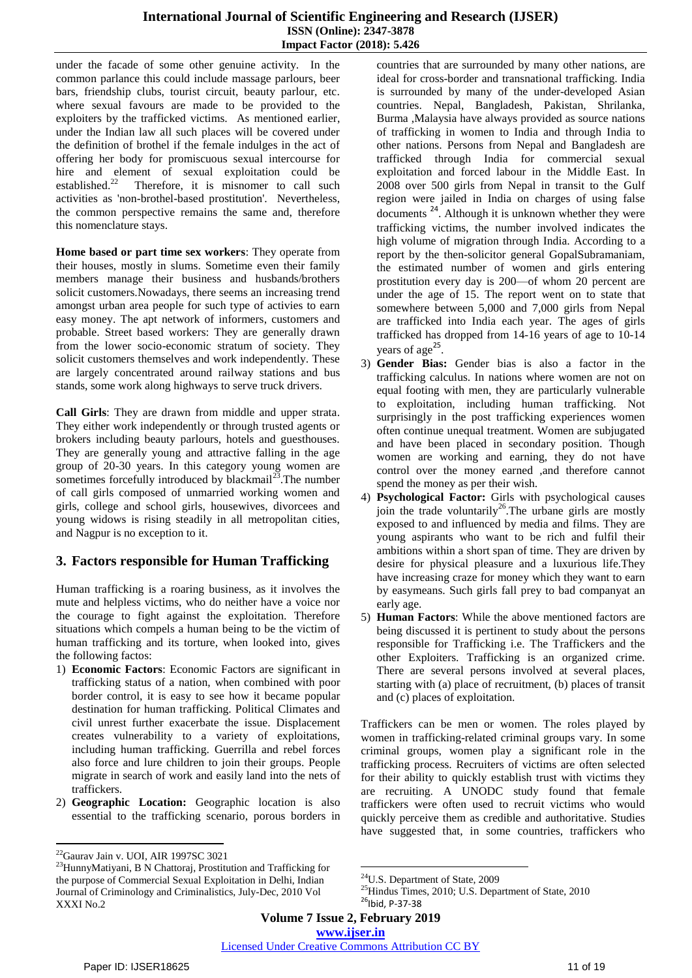under the facade of some other genuine activity. In the common parlance this could include massage parlours, beer bars, friendship clubs, tourist circuit, beauty parlour, etc. where sexual favours are made to be provided to the exploiters by the trafficked victims. As mentioned earlier, under the Indian law all such places will be covered under the definition of brothel if the female indulges in the act of offering her body for promiscuous sexual intercourse for hire and element of sexual exploitation could be established.<sup>22</sup> Therefore, it is misnomer to call such activities as 'non-brothel-based prostitution'. Nevertheless, the common perspective remains the same and, therefore this nomenclature stays.

**Home based or part time sex workers**: They operate from their houses, mostly in slums. Sometime even their family members manage their business and husbands/brothers solicit customers.Nowadays, there seems an increasing trend amongst urban area people for such type of activies to earn easy money. The apt network of informers, customers and probable. Street based workers: They are generally drawn from the lower socio-economic stratum of society. They solicit customers themselves and work independently. These are largely concentrated around railway stations and bus stands, some work along highways to serve truck drivers.

**Call Girls**: They are drawn from middle and upper strata. They either work independently or through trusted agents or brokers including beauty parlours, hotels and guesthouses. They are generally young and attractive falling in the age group of 20-30 years. In this category young women are sometimes forcefully introduced by blackmail $^{23}$ . The number of call girls composed of unmarried working women and girls, college and school girls, housewives, divorcees and young widows is rising steadily in all metropolitan cities, and Nagpur is no exception to it.

# **3. Factors responsible for Human Trafficking**

Human trafficking is a roaring business, as it involves the mute and helpless victims, who do neither have a voice nor the courage to fight against the exploitation. Therefore situations which compels a human being to be the victim of human trafficking and its torture, when looked into, gives the following factos:

- 1) **Economic Factors**: Economic Factors are significant in trafficking status of a nation, when combined with poor border control, it is easy to see how it became popular destination for human trafficking. Political Climates and civil unrest further exacerbate the issue. Displacement creates vulnerability to a variety of exploitations, including human trafficking. Guerrilla and rebel forces also force and lure children to join their groups. People migrate in search of work and easily land into the nets of traffickers.
- 2) **Geographic Location:** Geographic location is also essential to the trafficking scenario, porous borders in

countries that are surrounded by many other nations, are ideal for cross-border and transnational trafficking. India is surrounded by many of the under-developed Asian countries. Nepal, Bangladesh, Pakistan, Shrilanka, Burma ,Malaysia have always provided as source nations of trafficking in women to India and through India to other nations. Persons from Nepal and Bangladesh are trafficked through India for commercial sexual exploitation and forced labour in the Middle East. In 2008 over 500 girls from Nepal in transit to the Gulf region were jailed in India on charges of using false documents<sup>24</sup>. Although it is unknown whether they were trafficking victims, the number involved indicates the high volume of migration through India. According to a report by the then-solicitor general GopalSubramaniam, the estimated number of women and girls entering prostitution every day is 200—of whom 20 percent are under the age of 15. The report went on to state that somewhere between 5,000 and 7,000 girls from Nepal are trafficked into India each year. The ages of girls trafficked has dropped from 14-16 years of age to 10-14 years of age<sup>25</sup>.

- 3) **Gender Bias:** Gender bias is also a factor in the trafficking calculus. In nations where women are not on equal footing with men, they are particularly vulnerable to exploitation, including human trafficking. Not surprisingly in the post trafficking experiences women often continue unequal treatment. Women are subjugated and have been placed in secondary position. Though women are working and earning, they do not have control over the money earned ,and therefore cannot spend the money as per their wish.
- 4) **Psychological Factor:** Girls with psychological causes join the trade voluntarily<sup>26</sup>. The urbane girls are mostly exposed to and influenced by media and films. They are young aspirants who want to be rich and fulfil their ambitions within a short span of time. They are driven by desire for physical pleasure and a luxurious life.They have increasing craze for money which they want to earn by easymeans. Such girls fall prey to bad companyat an early age.
- 5) **Human Factors**: While the above mentioned factors are being discussed it is pertinent to study about the persons responsible for Trafficking i.e. The Traffickers and the other Exploiters. Trafficking is an organized crime. There are several persons involved at several places, starting with (a) place of recruitment, (b) places of transit and (c) places of exploitation.

Traffickers can be men or women. The roles played by women in trafficking-related criminal groups vary. In some criminal groups, women play a significant role in the trafficking process. Recruiters of victims are often selected for their ability to quickly establish trust with victims they are recruiting. A UNODC study found that female traffickers were often used to recruit victims who would quickly perceive them as credible and authoritative. Studies have suggested that, in some countries, traffickers who

 $\overline{a}$ <sup>22</sup>Gaurav Jain v. UOI, AIR 1997SC 3021

<sup>23</sup>HunnyMatiyani, B N Chattoraj, Prostitution and Trafficking for the purpose of Commercial Sexual Exploitation in Delhi, Indian Journal of Criminology and Criminalistics, July-Dec, 2010 Vol XXXI No.2

**<sup>.</sup>** <sup>24</sup>U.S. Department of State, 2009

<sup>&</sup>lt;sup>25</sup>Hindus Times, 2010; U.S. Department of State, 2010  $26$ Ibid, P-37-38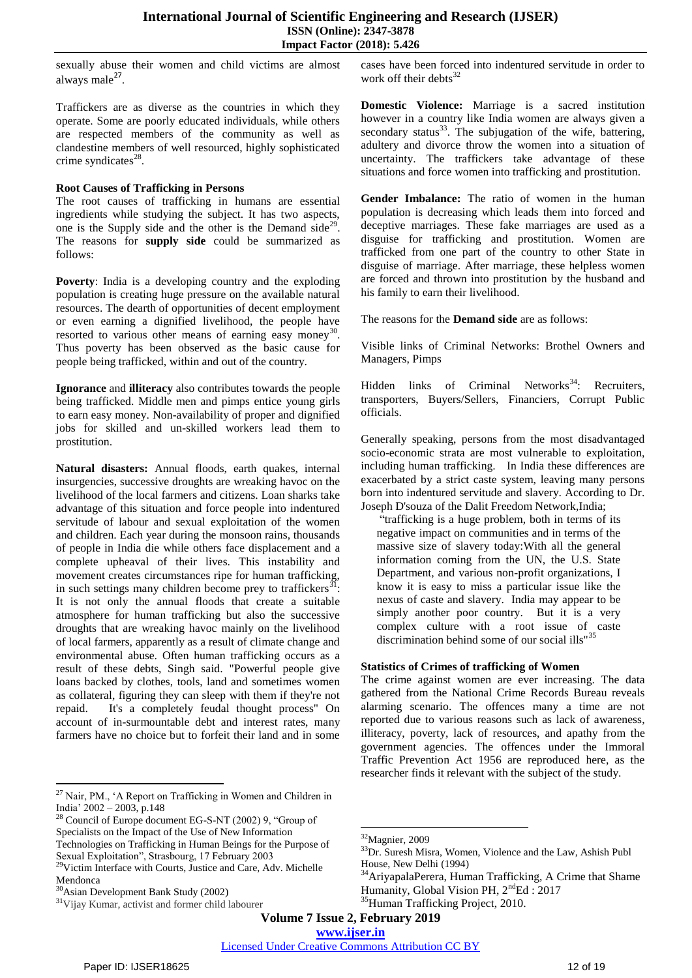sexually abuse their women and child victims are almost always male<sup>27</sup>.

Traffickers are as diverse as the countries in which they operate. Some are poorly educated individuals, while others are respected members of the community as well as clandestine members of well resourced, highly sophisticated crime syndicates $^{28}$ .

#### **Root Causes of Trafficking in Persons**

The root causes of trafficking in humans are essential ingredients while studying the subject. It has two aspects, one is the Supply side and the other is the Demand side<sup>29</sup>. The reasons for **supply side** could be summarized as follows:

**Poverty**: India is a developing country and the exploding population is creating huge pressure on the available natural resources. The dearth of opportunities of decent employment or even earning a dignified livelihood, the people have resorted to various other means of earning easy money<sup>30</sup>. Thus poverty has been observed as the basic cause for people being trafficked, within and out of the country.

**Ignorance** and **illiteracy** also contributes towards the people being trafficked. Middle men and pimps entice young girls to earn easy money. Non-availability of proper and dignified jobs for skilled and un-skilled workers lead them to prostitution.

**Natural disasters:** Annual floods, earth quakes, internal insurgencies, successive droughts are wreaking havoc on the livelihood of the local farmers and citizens. Loan sharks take advantage of this situation and force people into indentured servitude of labour and sexual exploitation of the women and children. Each year during the monsoon rains, thousands of people in India die while others face displacement and a complete upheaval of their lives. This instability and movement creates circumstances ripe for human trafficking, in such settings many children become prey to traffickers $31$ It is not only the annual floods that create a suitable atmosphere for human trafficking but also the successive droughts that are wreaking havoc mainly on the livelihood of local farmers, apparently as a result of climate change and environmental abuse. Often human trafficking occurs as a result of these debts, Singh said. "Powerful people give loans backed by clothes, tools, land and sometimes women as collateral, figuring they can sleep with them if they're not repaid. It's a completely feudal thought process" On account of in-surmountable debt and interest rates, many farmers have no choice but to forfeit their land and in some

 $\overline{a}$ 

cases have been forced into indentured servitude in order to work off their debts $32$ 

**Domestic Violence:** Marriage is a sacred institution however in a country like India women are always given a secondary status $^{33}$ . The subjugation of the wife, battering, adultery and divorce throw the women into a situation of uncertainty. The traffickers take advantage of these situations and force women into trafficking and prostitution.

Gender Imbalance: The ratio of women in the human population is decreasing which leads them into forced and deceptive marriages. These fake marriages are used as a disguise for trafficking and prostitution. Women are trafficked from one part of the country to other State in disguise of marriage. After marriage, these helpless women are forced and thrown into prostitution by the husband and his family to earn their livelihood.

The reasons for the **Demand side** are as follows:

Visible links of Criminal Networks: Brothel Owners and Managers, Pimps

Hidden links of Criminal Networks<sup>34</sup>: Recruiters, transporters, Buyers/Sellers, Financiers, Corrupt Public officials.

Generally speaking, persons from the most disadvantaged socio-economic strata are most vulnerable to exploitation, including human trafficking. In India these differences are exacerbated by a strict caste system, leaving many persons born into indentured servitude and slavery. According to Dr. Joseph D'souza of the Dalit Freedom Network,India;

"trafficking is a huge problem, both in terms of its negative impact on communities and in terms of the massive size of slavery today:With all the general information coming from the UN, the U.S. State Department, and various non-profit organizations, I know it is easy to miss a particular issue like the nexus of caste and slavery. India may appear to be simply another poor country. But it is a very complex culture with a root issue of caste discrimination behind some of our social ills" $3$ 

#### **Statistics of Crimes of trafficking of Women**

The crime against women are ever increasing. The data gathered from the National Crime Records Bureau reveals alarming scenario. The offences many a time are not reported due to various reasons such as lack of awareness, illiteracy, poverty, lack of resources, and apathy from the government agencies. The offences under the Immoral Traffic Prevention Act 1956 are reproduced here, as the researcher finds it relevant with the subject of the study.

**Volume 7 Issue 2, February 2019**

**www.ijser.in**

<sup>&</sup>lt;sup>27</sup> Nair, PM., 'A Report on Trafficking in Women and Children in India' 2002 – 2003, p.148

<sup>&</sup>lt;sup>28</sup> Council of Europe document EG-S-NT (2002) 9, "Group of Specialists on the Impact of the Use of New Information Technologies on Trafficking in Human Beings for the Purpose of

Sexual Exploitation", Strasbourg, 17 February 2003

<sup>&</sup>lt;sup>29</sup>Victim Interface with Courts, Justice and Care, Adv. Michelle Mendonca

<sup>30</sup>Asian Development Bank Study (2002)

<sup>31</sup>Vijay Kumar, activist and former child labourer

**<sup>.</sup>** <sup>32</sup>Magnier, 2009

<sup>&</sup>lt;sup>33</sup>Dr. Suresh Misra, Women, Violence and the Law, Ashish Publ House, New Delhi (1994)

<sup>&</sup>lt;sup>34</sup>AriyapalaPerera, Human Trafficking, A Crime that Shame Humanity, Global Vision PH,  $2<sup>nd</sup>Ed : 2017$ 

<sup>35</sup>Human Trafficking Project, 2010.

Licensed Under Creative Commons Attribution CC BY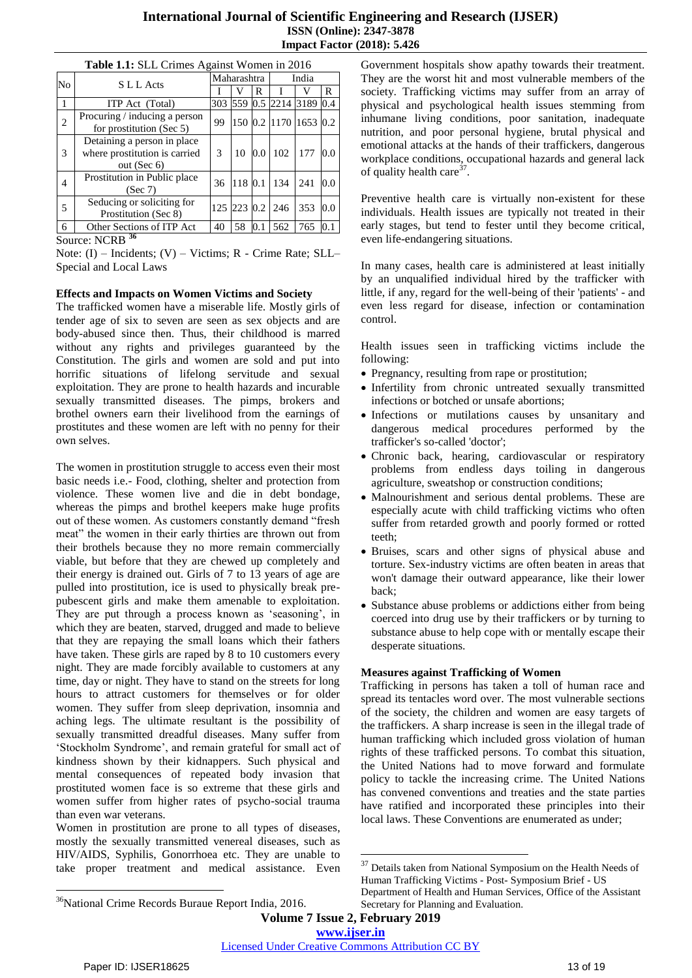| Table 1.1: SLL Crimes Against Women in 2016 |                                                                                |               |         |         |                   |      |     |
|---------------------------------------------|--------------------------------------------------------------------------------|---------------|---------|---------|-------------------|------|-----|
| No                                          | S L L Acts                                                                     | Maharashtra   |         |         | India             |      |     |
|                                             |                                                                                |               |         | R       |                   |      | R   |
|                                             | ITP Act (Total)                                                                | 303           |         |         | 559 0.5 2214      | 3189 | 0.4 |
| 2                                           | Procuring / inducing a person<br>for prostitution (Sec 5)                      | 99            |         |         | 150 0.2 1170 1653 |      | 0.2 |
| 3                                           | Detaining a person in place<br>where prostitution is carried<br>out (Sec $6$ ) | $\mathcal{R}$ | 10      | 0.0     | 102               | 177  | 0.0 |
| 4                                           | Prostitution in Public place<br>(Sec 7)                                        | 36            | 118 0.1 |         | 134               | 241  | 0.0 |
| 5                                           | Seducing or soliciting for<br>Prostitution (Sec 8)                             |               |         |         | 125 223 0.2 246   | 353  | 0.0 |
| 6                                           | Other Sections of ITP Act                                                      | 40            | 58      | $0.1\,$ | 562               | 765  | 0.1 |

Source: NCRB **<sup>36</sup>**

Note: (I) – Incidents; (V) – Victims; R - Crime Rate; SLL– Special and Local Laws

#### **Effects and Impacts on Women Victims and Society**

The trafficked women have a miserable life. Mostly girls of tender age of six to seven are seen as sex objects and are body-abused since then. Thus, their childhood is marred without any rights and privileges guaranteed by the Constitution. The girls and women are sold and put into horrific situations of lifelong servitude and sexual exploitation. They are prone to health hazards and incurable sexually transmitted diseases. The pimps, brokers and brothel owners earn their livelihood from the earnings of prostitutes and these women are left with no penny for their own selves.

The women in prostitution struggle to access even their most basic needs i.e.- Food, clothing, shelter and protection from violence. These women live and die in debt bondage, whereas the pimps and brothel keepers make huge profits out of these women. As customers constantly demand "fresh meat" the women in their early thirties are thrown out from their brothels because they no more remain commercially viable, but before that they are chewed up completely and their energy is drained out. Girls of 7 to 13 years of age are pulled into prostitution, ice is used to physically break prepubescent girls and make them amenable to exploitation. They are put through a process known as 'seasoning', in which they are beaten, starved, drugged and made to believe that they are repaying the small loans which their fathers have taken. These girls are raped by 8 to 10 customers every night. They are made forcibly available to customers at any time, day or night. They have to stand on the streets for long hours to attract customers for themselves or for older women. They suffer from sleep deprivation, insomnia and aching legs. The ultimate resultant is the possibility of sexually transmitted dreadful diseases. Many suffer from ‗Stockholm Syndrome', and remain grateful for small act of kindness shown by their kidnappers. Such physical and mental consequences of repeated body invasion that prostituted women face is so extreme that these girls and women suffer from higher rates of psycho-social trauma than even war veterans.

Women in prostitution are prone to all types of diseases, mostly the sexually transmitted venereal diseases, such as HIV/AIDS, Syphilis, Gonorrhoea etc. They are unable to take proper treatment and medical assistance. Even Government hospitals show apathy towards their treatment. They are the worst hit and most vulnerable members of the society. Trafficking victims may suffer from an array of physical and psychological health issues stemming from inhumane living conditions, poor sanitation, inadequate nutrition, and poor personal hygiene, brutal physical and emotional attacks at the hands of their traffickers, dangerous workplace conditions, occupational hazards and general lack of quality health care<sup>37</sup>.

Preventive health care is virtually non-existent for these individuals. Health issues are typically not treated in their early stages, but tend to fester until they become critical, even life-endangering situations.

In many cases, health care is administered at least initially by an unqualified individual hired by the trafficker with little, if any, regard for the well-being of their 'patients' - and even less regard for disease, infection or contamination control.

Health issues seen in trafficking victims include the following:

- Pregnancy, resulting from rape or prostitution;
- Infertility from chronic untreated sexually transmitted infections or botched or unsafe abortions;
- Infections or mutilations causes by unsanitary and dangerous medical procedures performed by the trafficker's so-called 'doctor';
- Chronic back, hearing, cardiovascular or respiratory problems from endless days toiling in dangerous agriculture, sweatshop or construction conditions;
- Malnourishment and serious dental problems. These are especially acute with child trafficking victims who often suffer from retarded growth and poorly formed or rotted teeth;
- Bruises, scars and other signs of physical abuse and torture. Sex-industry victims are often beaten in areas that won't damage their outward appearance, like their lower back;
- Substance abuse problems or addictions either from being coerced into drug use by their traffickers or by turning to substance abuse to help cope with or mentally escape their desperate situations.

#### **Measures against Trafficking of Women**

Trafficking in persons has taken a toll of human race and spread its tentacles word over. The most vulnerable sections of the society, the children and women are easy targets of the traffickers. A sharp increase is seen in the illegal trade of human trafficking which included gross violation of human rights of these trafficked persons. To combat this situation, the United Nations had to move forward and formulate policy to tackle the increasing crime. The United Nations has convened conventions and treaties and the state parties have ratified and incorporated these principles into their local laws. These Conventions are enumerated as under;

**Volume 7 Issue 2, February 2019**

**www.ijser.in**

1

 $\overline{a}$ 

 $^{37}$  Details taken from National Symposium on the Health Needs of Human Trafficking Victims - Post- Symposium Brief - US Department of Health and Human Services, Office of the Assistant Secretary for Planning and Evaluation.

<sup>&</sup>lt;sup>36</sup>National Crime Records Buraue Report India, 2016.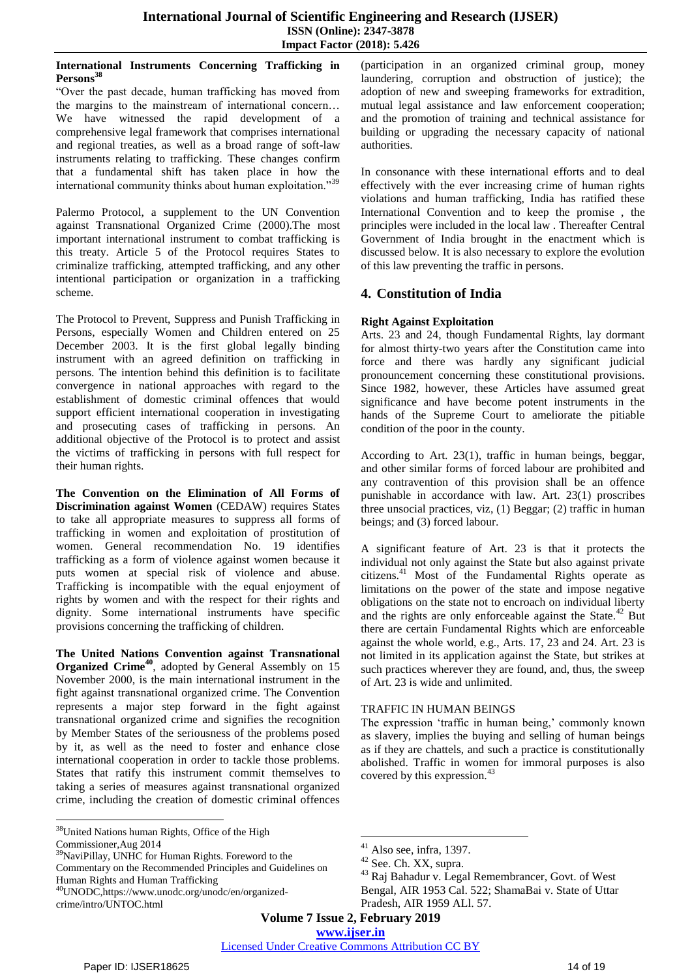#### **International Instruments Concerning Trafficking in**  Persons<sup>3</sup>

―Over the past decade, human trafficking has moved from the margins to the mainstream of international concern… We have witnessed the rapid development of a comprehensive legal framework that comprises international and regional treaties, as well as a broad range of soft-law instruments relating to trafficking. These changes confirm that a fundamental shift has taken place in how the international community thinks about human exploitation.<sup>39</sup>

Palermo Protocol, a supplement to the UN Convention against Transnational Organized Crime (2000).The most important international instrument to combat trafficking is this treaty. Article 5 of the Protocol requires States to criminalize trafficking, attempted trafficking, and any other intentional participation or organization in a trafficking scheme.

The Protocol to Prevent, Suppress and Punish Trafficking in Persons, especially Women and Children entered on 25 December 2003. It is the first global legally binding instrument with an agreed definition on trafficking in persons. The intention behind this definition is to facilitate convergence in national approaches with regard to the establishment of domestic criminal offences that would support efficient international cooperation in investigating and prosecuting cases of trafficking in persons. An additional objective of the Protocol is to protect and assist the victims of trafficking in persons with full respect for their human rights.

**The Convention on the Elimination of All Forms of Discrimination against Women** (CEDAW) requires States to take all appropriate measures to suppress all forms of trafficking in women and exploitation of prostitution of women. General recommendation No. 19 identifies trafficking as a form of violence against women because it puts women at special risk of violence and abuse. Trafficking is incompatible with the equal enjoyment of rights by women and with the respect for their rights and dignity. Some international instruments have specific provisions concerning the trafficking of children.

**The United Nations Convention against Transnational Organized Crime<sup>40</sup>**, adopted by General Assembly on 15 November 2000, is the main international instrument in the fight against transnational organized crime. The Convention represents a major step forward in the fight against transnational organized crime and signifies the recognition by Member States of the seriousness of the problems posed by it, as well as the need to foster and enhance close international cooperation in order to tackle those problems. States that ratify this instrument commit themselves to taking a series of measures against transnational organized crime, including the creation of domestic criminal offences

<sup>39</sup>NaviPillay, UNHC for Human Rights. Foreword to the Commentary on the Recommended Principles and Guidelines on Human Rights and Human Trafficking

(participation in an organized criminal group, money laundering, corruption and obstruction of justice); the adoption of new and sweeping frameworks for extradition, mutual legal assistance and law enforcement cooperation; and the promotion of training and technical assistance for building or upgrading the necessary capacity of national authorities.

In consonance with these international efforts and to deal effectively with the ever increasing crime of human rights violations and human trafficking, India has ratified these International Convention and to keep the promise , the principles were included in the local law . Thereafter Central Government of India brought in the enactment which is discussed below. It is also necessary to explore the evolution of this law preventing the traffic in persons.

# **4. Constitution of India**

# **Right Against Exploitation**

Arts. 23 and 24, though Fundamental Rights, lay dormant for almost thirty-two years after the Constitution came into force and there was hardly any significant judicial pronouncement concerning these constitutional provisions. Since 1982, however, these Articles have assumed great significance and have become potent instruments in the hands of the Supreme Court to ameliorate the pitiable condition of the poor in the county.

According to Art. 23(1), traffic in human beings, beggar, and other similar forms of forced labour are prohibited and any contravention of this provision shall be an offence punishable in accordance with law. Art. 23(1) proscribes three unsocial practices, viz, (1) Beggar; (2) traffic in human beings; and (3) forced labour.

A significant feature of Art. 23 is that it protects the individual not only against the State but also against private citizens.<sup>41</sup> Most of the Fundamental Rights operate as limitations on the power of the state and impose negative obligations on the state not to encroach on individual liberty and the rights are only enforceable against the State.<sup>42</sup> But there are certain Fundamental Rights which are enforceable against the whole world, e.g., Arts. 17, 23 and 24. Art. 23 is not limited in its application against the State, but strikes at such practices wherever they are found, and, thus, the sweep of Art. 23 is wide and unlimited.

# TRAFFIC IN HUMAN BEINGS

The expression 'traffic in human being,' commonly known as slavery, implies the buying and selling of human beings as if they are chattels, and such a practice is constitutionally abolished. Traffic in women for immoral purposes is also covered by this expression.<sup>43</sup>

**Volume 7 Issue 2, February 2019**

**www.ijser.in**

1

Licensed Under Creative Commons Attribution CC BY

 $\overline{a}$ <sup>38</sup>United Nations human Rights, Office of the High

Commissioner,Aug 2014

<sup>40</sup>UNODC,https://www.unodc.org/unodc/en/organizedcrime/intro/UNTOC.html

 $41$  Also see, infra, 1397.

<sup>42</sup> See. Ch. XX, supra.

<sup>43</sup> Raj Bahadur v. Legal Remembrancer, Govt. of West Bengal, AIR 1953 Cal. 522; ShamaBai v. State of Uttar Pradesh, AIR 1959 ALl. 57.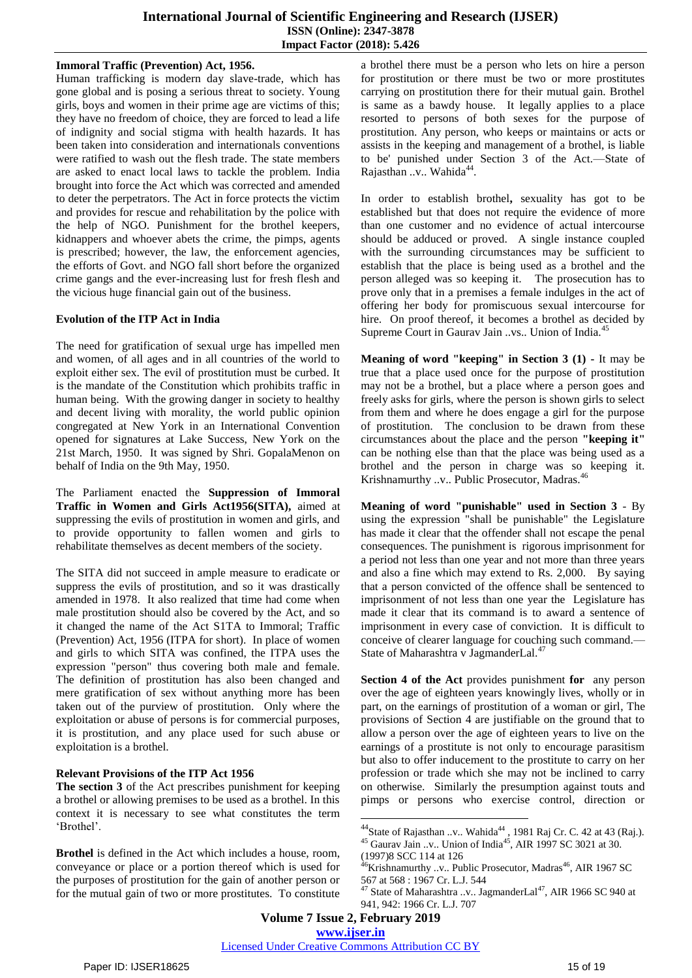## **Immoral Traffic (Prevention) Act, 1956.**

Human trafficking is modern day slave-trade, which has gone global and is posing a serious threat to society. Young girls, boys and women in their prime age are victims of this; they have no freedom of choice, they are forced to lead a life of indignity and social stigma with health hazards. It has been taken into consideration and internationals conventions were ratified to wash out the flesh trade. The state members are asked to enact local laws to tackle the problem. India brought into force the Act which was corrected and amended to deter the perpetrators. The Act in force protects the victim and provides for rescue and rehabilitation by the police with the help of NGO. Punishment for the brothel keepers, kidnappers and whoever abets the crime, the pimps, agents is prescribed; however, the law, the enforcement agencies, the efforts of Govt. and NGO fall short before the organized crime gangs and the ever-increasing lust for fresh flesh and the vicious huge financial gain out of the business.

## **Evolution of the ITP Act in India**

The need for gratification of sexual urge has impelled men and women, of all ages and in all countries of the world to exploit either sex. The evil of prostitution must be curbed. It is the mandate of the Constitution which prohibits traffic in human being. With the growing danger in society to healthy and decent living with morality, the world public opinion congregated at New York in an International Convention opened for signatures at Lake Success, New York on the 21st March, 1950. It was signed by Shri. GopalaMenon on behalf of India on the 9th May, 1950.

The Parliament enacted the **Suppression of Immoral Traffic in Women and Girls Act1956(SITA),** aimed at suppressing the evils of prostitution in women and girls, and to provide opportunity to fallen women and girls to rehabilitate themselves as decent members of the society.

The SITA did not succeed in ample measure to eradicate or suppress the evils of prostitution, and so it was drastically amended in 1978. It also realized that time had come when male prostitution should also be covered by the Act, and so it changed the name of the Act S1TA to Immoral; Traffic (Prevention) Act, 1956 (ITPA for short). In place of women and girls to which SITA was confined, the ITPA uses the expression "person" thus covering both male and female. The definition of prostitution has also been changed and mere gratification of sex without anything more has been taken out of the purview of prostitution. Only where the exploitation or abuse of persons is for commercial purposes, it is prostitution, and any place used for such abuse or exploitation is a brothel.

#### **Relevant Provisions of the ITP Act 1956**

**The section 3** of the Act prescribes punishment for keeping a brothel or allowing premises to be used as a brothel. In this context it is necessary to see what constitutes the term ‗Brothel'.

**Brothel** is defined in the Act which includes a house, room, conveyance or place or a portion thereof which is used for the purposes of prostitution for the gain of another person or for the mutual gain of two or more prostitutes. To constitute a brothel there must be a person who lets on hire a person for prostitution or there must be two or more prostitutes carrying on prostitution there for their mutual gain. Brothel is same as a bawdy house. It legally applies to a place resorted to persons of both sexes for the purpose of prostitution. Any person, who keeps or maintains or acts or assists in the keeping and management of a brothel, is liable to be' punished under Section 3 of the Act.—State of Rajasthan ..v.. Wahida<sup>44</sup>.

In order to establish brothel**,** sexuality has got to be established but that does not require the evidence of more than one customer and no evidence of actual intercourse should be adduced or proved. A single instance coupled with the surrounding circumstances may be sufficient to establish that the place is being used as a brothel and the person alleged was so keeping it. The prosecution has to prove only that in a premises a female indulges in the act of offering her body for promiscuous sexual intercourse for hire. On proof thereof, it becomes a brothel as decided by Supreme Court in Gaurav Jain ..vs.. Union of India.<sup>4</sup>

**Meaning of word "keeping" in Section 3 (1) -** It may be true that a place used once for the purpose of prostitution may not be a brothel, but a place where a person goes and freely asks for girls, where the person is shown girls to select from them and where he does engage a girl for the purpose of prostitution. The conclusion to be drawn from these circumstances about the place and the person **"keeping it"** can be nothing else than that the place was being used as a brothel and the person in charge was so keeping it. Krishnamurthy ..v.. Public Prosecutor, Madras.<sup>46</sup>

**Meaning of word "punishable" used in Section 3** - By using the expression "shall be punishable" the Legislature has made it clear that the offender shall not escape the penal consequences. The punishment is rigorous imprisonment for a period not less than one year and not more than three years and also a fine which may extend to Rs. 2,000. By saying that a person convicted of the offence shall be sentenced to imprisonment of not less than one year the Legislature has made it clear that its command is to award a sentence of imprisonment in every case of conviction. It is difficult to conceive of clearer language for couching such command.— State of Maharashtra v JagmanderLal.<sup>47</sup>

**Section 4 of the Act** provides punishment **for** any person over the age of eighteen years knowingly lives, wholly or in part, on the earnings of prostitution of a woman or girl, The provisions of Section 4 are justifiable on the ground that to allow a person over the age of eighteen years to live on the earnings of a prostitute is not only to encourage parasitism but also to offer inducement to the prostitute to carry on her profession or trade which she may not be inclined to carry on otherwise. Similarly the presumption against touts and pimps or persons who exercise control, direction or

(1997)8 SCC 114 at 126

1

Licensed Under Creative Commons Attribution CC BY

 $44$ State of Rajasthan ..v.. Wahida $44$ , 1981 Raj Cr. C. 42 at 43 (Raj.).  $45$  Gaurav Jain ..v.. Union of India<sup>45</sup>, AIR 1997 SC 3021 at 30.

 $46$ Krishnamurthy ..v.. Public Prosecutor, Madras $46$ , AIR 1967 SC 567 at 568 : 1967 Cr. L.J. 544

 $47$  State of Maharashtra ..v.. JagmanderLal $47$ , AIR 1966 SC 940 at 941, 942: 1966 Cr. L.J. 707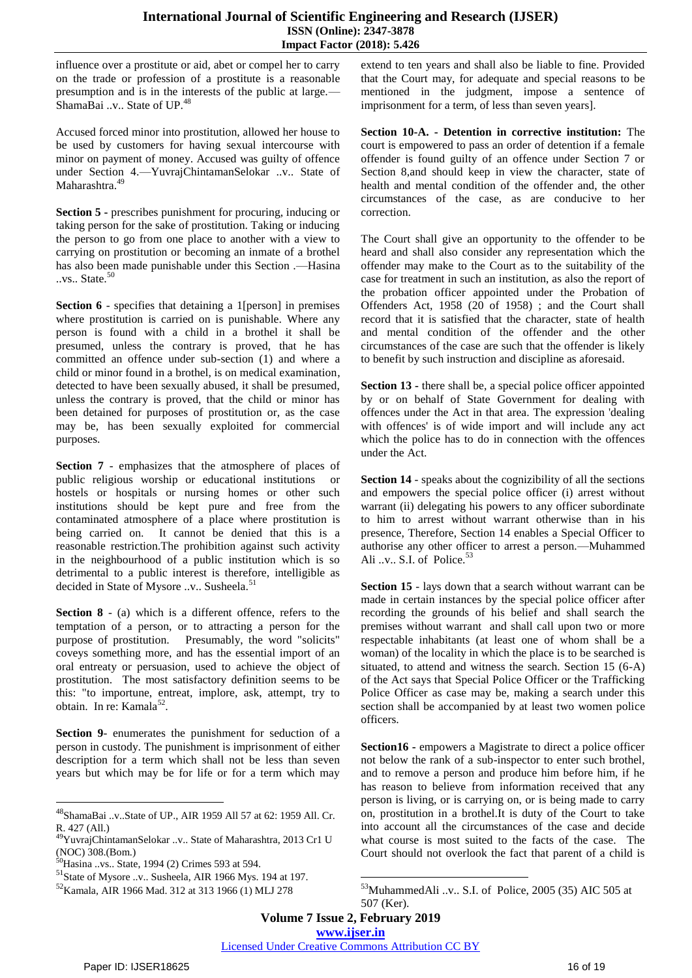influence over a prostitute or aid, abet or compel her to carry on the trade or profession of a prostitute is a reasonable presumption and is in the interests of the public at large.— ShamaBai ..v.. State of UP.<sup>48</sup>

Accused forced minor into prostitution, allowed her house to be used by customers for having sexual intercourse with minor on payment of money. Accused was guilty of offence under Section 4.—YuvrajChintamanSelokar ..v.. State of Maharashtra.<sup>49</sup>

**Section 5 -** prescribes punishment for procuring, inducing or taking person for the sake of prostitution. Taking or inducing the person to go from one place to another with a view to carrying on prostitution or becoming an inmate of a brothel has also been made punishable under this Section .—Hasina ..vs.. State.<sup>50</sup>

**Section 6** - specifies that detaining a 1[person] in premises where prostitution is carried on is punishable. Where any person is found with a child in a brothel it shall be presumed, unless the contrary is proved, that he has committed an offence under sub-section (1) and where a child or minor found in a brothel, is on medical examination, detected to have been sexually abused, it shall be presumed, unless the contrary is proved, that the child or minor has been detained for purposes of prostitution or, as the case may be, has been sexually exploited for commercial purposes.

**Section 7** - emphasizes that the atmosphere of places of public religious worship or educational institutions or hostels or hospitals or nursing homes or other such institutions should be kept pure and free from the contaminated atmosphere of a place where prostitution is being carried on. It cannot be denied that this is a reasonable restriction.The prohibition against such activity in the neighbourhood of a public institution which is so detrimental to a public interest is therefore, intelligible as decided in State of Mysore ..v.. Susheela.<sup>51</sup>

**Section 8** - (a) which is a different offence, refers to the temptation of a person, or to attracting a person for the purpose of prostitution. Presumably, the word "solicits" coveys something more, and has the essential import of an oral entreaty or persuasion, used to achieve the object of prostitution. The most satisfactory definition seems to be this: "to importune, entreat, implore, ask, attempt, try to obtain. In re: Kamala<sup>52</sup>.

**Section 9**- enumerates the punishment for seduction of a person in custody. The punishment is imprisonment of either description for a term which shall not be less than seven years but which may be for life or for a term which may

extend to ten years and shall also be liable to fine. Provided that the Court may, for adequate and special reasons to be mentioned in the judgment, impose a sentence of imprisonment for a term, of less than seven years].

**Section 10-A. - Detention in corrective institution:** The court is empowered to pass an order of detention if a female offender is found guilty of an offence under Section 7 or Section 8,and should keep in view the character, state of health and mental condition of the offender and, the other circumstances of the case, as are conducive to her correction.

The Court shall give an opportunity to the offender to be heard and shall also consider any representation which the offender may make to the Court as to the suitability of the case for treatment in such an institution, as also the report of the probation officer appointed under the Probation of Offenders Act, 1958 (20 of 1958) ; and the Court shall record that it is satisfied that the character, state of health and mental condition of the offender and the other circumstances of the case are such that the offender is likely to benefit by such instruction and discipline as aforesaid.

**Section 13 -** there shall be, a special police officer appointed by or on behalf of State Government for dealing with offences under the Act in that area. The expression 'dealing with offences' is of wide import and will include any act which the police has to do in connection with the offences under the Act.

**Section 14** - speaks about the cognizibility of all the sections and empowers the special police officer (i) arrest without warrant (ii) delegating his powers to any officer subordinate to him to arrest without warrant otherwise than in his presence, Therefore, Section 14 enables a Special Officer to authorise any other officer to arrest a person.—Muhammed Ali ..v.. S.I. of Police.<sup>53</sup>

**Section 15** - lays down that a search without warrant can be made in certain instances by the special police officer after recording the grounds of his belief and shall search the premises without warrant and shall call upon two or more respectable inhabitants (at least one of whom shall be a woman) of the locality in which the place is to be searched is situated, to attend and witness the search. Section 15 (6-A) of the Act says that Special Police Officer or the Trafficking Police Officer as case may be, making a search under this section shall be accompanied by at least two women police officers.

**Section16 -** empowers a Magistrate to direct a police officer not below the rank of a sub-inspector to enter such brothel, and to remove a person and produce him before him, if he has reason to believe from information received that any person is living, or is carrying on, or is being made to carry on, prostitution in a brothel.It is duty of the Court to take into account all the circumstances of the case and decide what course is most suited to the facts of the case. The Court should not overlook the fact that parent of a child is

Licensed Under Creative Commons Attribution CC BY

 $\overline{a}$ 

<sup>48</sup>ShamaBai ..v..State of UP., AIR 1959 All 57 at 62: 1959 All. Cr. R. 427 (All.)

<sup>49</sup>YuvrajChintamanSelokar ..v.. State of Maharashtra, 2013 Cr1 U (NOC) 308.(Bom.)

<sup>50</sup>Hasina ..vs.. State, 1994 (2) Crimes 593 at 594.

<sup>51</sup>State of Mysore ..v.. Susheela, AIR 1966 Mys. 194 at 197.

<sup>52</sup>Kamala, AIR 1966 Mad. 312 at 313 1966 (1) MLJ 278

 $\overline{\phantom{a}}$ <sup>53</sup>MuhammedAli ..v.. S.I. of Police, 2005 (35) AIC 505 at 507 (Ker).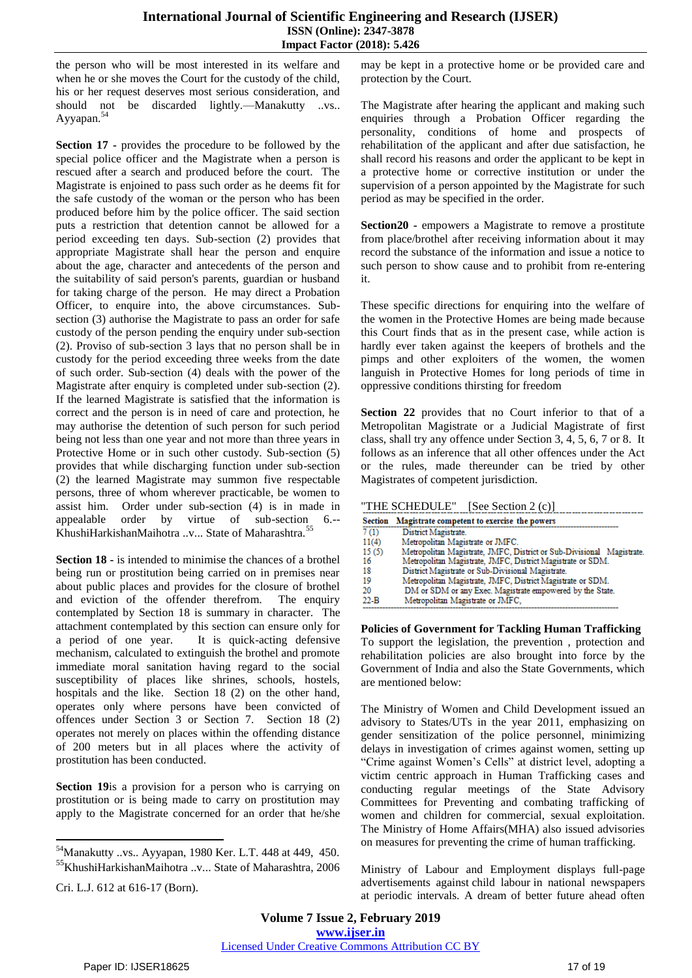the person who will be most interested in its welfare and when he or she moves the Court for the custody of the child, his or her request deserves most serious consideration, and should not be discarded lightly.—Manakutty ..vs.. Ayyapan.<sup>54</sup>

**Section 17 -** provides the procedure to be followed by the special police officer and the Magistrate when a person is rescued after a search and produced before the court. The Magistrate is enjoined to pass such order as he deems fit for the safe custody of the woman or the person who has been produced before him by the police officer. The said section puts a restriction that detention cannot be allowed for a period exceeding ten days. Sub-section (2) provides that appropriate Magistrate shall hear the person and enquire about the age, character and antecedents of the person and the suitability of said person's parents, guardian or husband for taking charge of the person. He may direct a Probation Officer, to enquire into, the above circumstances. Subsection (3) authorise the Magistrate to pass an order for safe custody of the person pending the enquiry under sub-section (2). Proviso of sub-section 3 lays that no person shall be in custody for the period exceeding three weeks from the date of such order. Sub-section (4) deals with the power of the Magistrate after enquiry is completed under sub-section (2). If the learned Magistrate is satisfied that the information is correct and the person is in need of care and protection, he may authorise the detention of such person for such period being not less than one year and not more than three years in Protective Home or in such other custody. Sub-section (5) provides that while discharging function under sub-section (2) the learned Magistrate may summon five respectable persons, three of whom wherever practicable, be women to assist him. Order under sub-section (4) is in made in appealable order by virtue of sub-section 6.-- KhushiHarkishanMaihotra ..v... State of Maharashtra.<sup>55</sup>

**Section 18 -** is intended to minimise the chances of a brothel being run or prostitution being carried on in premises near about public places and provides for the closure of brothel and eviction of the offender therefrom. The enquiry contemplated by Section 18 is summary in character. The attachment contemplated by this section can ensure only for a period of one year. It is quick-acting defensive mechanism, calculated to extinguish the brothel and promote immediate moral sanitation having regard to the social susceptibility of places like shrines, schools, hostels, hospitals and the like. Section 18 (2) on the other hand, operates only where persons have been convicted of offences under Section 3 or Section 7. Section 18 (2) operates not merely on places within the offending distance of 200 meters but in all places where the activity of prostitution has been conducted.

**Section 19**is a provision for a person who is carrying on prostitution or is being made to carry on prostitution may apply to the Magistrate concerned for an order that he/she

 $\overline{a}$ 

may be kept in a protective home or be provided care and protection by the Court.

The Magistrate after hearing the applicant and making such enquiries through a Probation Officer regarding the personality, conditions of home and prospects of rehabilitation of the applicant and after due satisfaction, he shall record his reasons and order the applicant to be kept in a protective home or corrective institution or under the supervision of a person appointed by the Magistrate for such period as may be specified in the order.

**Section20 -** empowers a Magistrate to remove a prostitute from place/brothel after receiving information about it may record the substance of the information and issue a notice to such person to show cause and to prohibit from re-entering it.

These specific directions for enquiring into the welfare of the women in the Protective Homes are being made because this Court finds that as in the present case, while action is hardly ever taken against the keepers of brothels and the pimps and other exploiters of the women, the women languish in Protective Homes for long periods of time in oppressive conditions thirsting for freedom

**Section 22** provides that no Court inferior to that of a Metropolitan Magistrate or a Judicial Magistrate of first class, shall try any offence under Section 3, 4, 5, 6, 7 or 8. It follows as an inference that all other offences under the Act or the rules, made thereunder can be tried by other Magistrates of competent jurisdiction.

"THE SCHEDULE" [See Section 2 (c)]

|                  | Section Magistrate competent to exercise the powers                   |  |
|------------------|-----------------------------------------------------------------------|--|
| 7 <sub>(1)</sub> | District Magistrate.                                                  |  |
| 11(4)            | Metropolitan Magistrate or JMFC.                                      |  |
| 15(5)            | Metropolitan Magistrate, JMFC, District or Sub-Divisional Magistrate. |  |
| 16               | Metropolitan Magistrate, JMFC, District Magistrate or SDM.            |  |
| 18               | District Magistrate or Sub-Divisional Magistrate.                     |  |
| 19               | Metropolitan Magistrate, JMFC, District Magistrate or SDM.            |  |
| 20               | DM or SDM or any Exec. Magistrate empowered by the State.             |  |
| $22 - B$         | Metropolitan Magistrate or JMFC,                                      |  |

**Policies of Government for Tackling Human Trafficking**  To support the legislation, the prevention , protection and rehabilitation policies are also brought into force by the Government of India and also the State Governments, which are mentioned below:

The Ministry of Women and Child Development issued an advisory to States/UTs in the year 2011, emphasizing on gender sensitization of the police personnel, minimizing delays in investigation of crimes against women, setting up "Crime against Women's Cells" at district level, adopting a victim centric approach in Human Trafficking cases and conducting regular meetings of the State Advisory Committees for Preventing and combating trafficking of women and children for commercial, sexual exploitation. The Ministry of Home Affairs(MHA) also issued advisories on measures for preventing the crime of human trafficking.

Ministry of Labour and Employment displays full-page advertisements against [child labour](http://en.wikipedia.org/wiki/Child_labour_in_India) in national newspapers at periodic intervals. A dream of better future ahead often

<sup>54</sup>Manakutty ..vs.. Ayyapan, 1980 Ker. L.T. 448 at 449, 450. <sup>55</sup>KhushiHarkishanMaihotra ..v... State of Maharashtra, 2006

Cri. L.J. 612 at 616-17 (Born).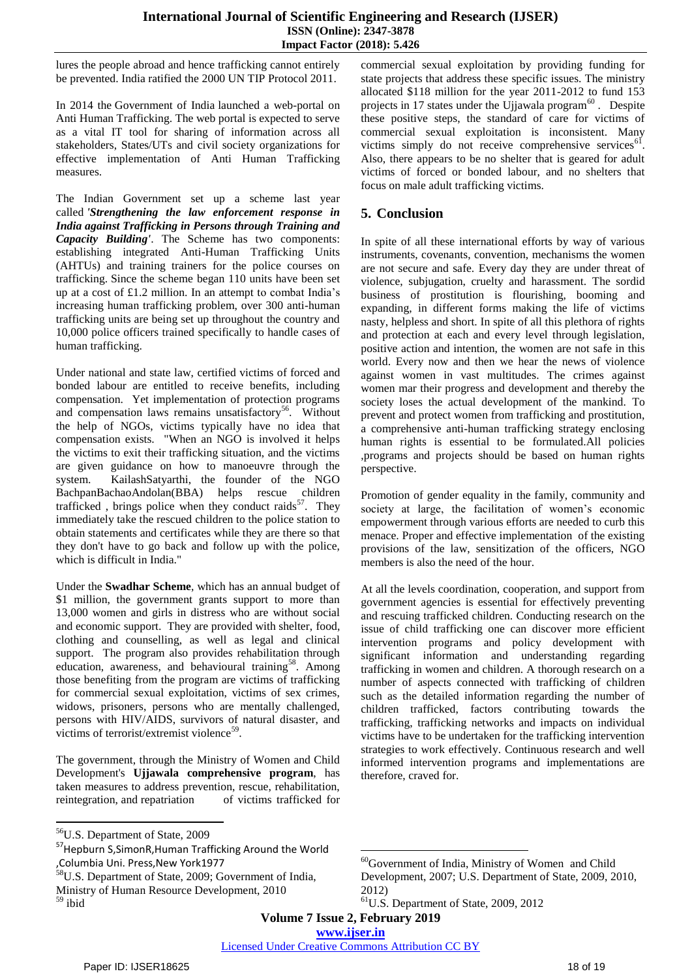lures the people abroad and hence trafficking cannot entirely be prevented. India ratified the [2000 UN TIP Protocol 2011.](http://en.wikipedia.org/w/index.php?title=2000_UN_TIP_Protocol_2011&action=edit&redlink=1)

In 2014 the [Government of India](http://en.wikipedia.org/wiki/Government_of_India) launched a web-portal on Anti Human Trafficking. The web portal is expected to serve as a vital IT tool for sharing of information across all stakeholders, States/UTs and civil society organizations for effective implementation of Anti Human Trafficking measures.

The Indian Government set up a scheme last year called *'Strengthening the law enforcement response in India against Trafficking in Persons through Training and Capacity Building'*. The Scheme has two components: establishing integrated Anti-Human Trafficking Units (AHTUs) and training trainers for the police courses on trafficking. Since the scheme began 110 units have been set up at a cost of £1.2 million. In an attempt to combat India's increasing human trafficking problem, over 300 anti-human trafficking units are being set up throughout the country and 10,000 police officers trained specifically to handle cases of human trafficking.

Under national and state law, certified victims of forced and bonded labour are entitled to receive benefits, including compensation. Yet implementation of protection programs and compensation laws remains unsatisfactory<sup>56</sup>. Without the help of NGOs, victims typically have no idea that compensation exists. "When an NGO is involved it helps the victims to exit their trafficking situation, and the victims are given guidance on how to manoeuvre through the system. KailashSatyarthi, the founder of the NGO BachpanBachaoAndolan(BBA) helps rescue children trafficked, brings police when they conduct raids<sup>57</sup>. They immediately take the rescued children to the police station to obtain statements and certificates while they are there so that they don't have to go back and follow up with the police, which is difficult in India."

Under the **Swadhar Scheme**, which has an annual budget of \$1 million, the government grants support to more than 13,000 women and girls in distress who are without social and economic support. They are provided with shelter, food, clothing and counselling, as well as legal and clinical support. The program also provides rehabilitation through education, awareness, and behavioural training<sup>58</sup>. Among those benefiting from the program are victims of trafficking for commercial sexual exploitation, victims of sex crimes, widows, prisoners, persons who are mentally challenged, persons with HIV/AIDS, survivors of natural disaster, and victims of terrorist/extremist violence $59$ .

The government, through the Ministry of Women and Child Development's **Ujjawala comprehensive program**, has taken measures to address prevention, rescue, rehabilitation, reintegration, and repatriation of victims trafficked for

 $\overline{a}$ 

commercial sexual exploitation by providing funding for state projects that address these specific issues. The ministry allocated \$118 million for the year 2011-2012 to fund 153 projects in 17 states under the Ujjawala program $^{60}$ . Despite these positive steps, the standard of care for victims of commercial sexual exploitation is inconsistent. Many victims simply do not receive comprehensive services $^{61}$ . Also, there appears to be no shelter that is geared for adult victims of forced or bonded labour, and no shelters that focus on male adult trafficking victims.

# **5. Conclusion**

In spite of all these international efforts by way of various instruments, covenants, convention, mechanisms the women are not secure and safe. Every day they are under threat of violence, subjugation, cruelty and harassment. The sordid business of prostitution is flourishing, booming and expanding, in different forms making the life of victims nasty, helpless and short. In spite of all this plethora of rights and protection at each and every level through legislation, positive action and intention, the women are not safe in this world. Every now and then we hear the news of violence against women in vast multitudes. The crimes against women mar their progress and development and thereby the society loses the actual development of the mankind. To prevent and protect women from trafficking and prostitution, a comprehensive anti-human trafficking strategy enclosing human rights is essential to be formulated.All policies ,programs and projects should be based on human rights perspective.

Promotion of gender equality in the family, community and society at large, the facilitation of women's economic empowerment through various efforts are needed to curb this menace. Proper and effective implementation of the existing provisions of the law, sensitization of the officers, NGO members is also the need of the hour.

At all the levels coordination, cooperation, and support from government agencies is essential for effectively preventing and rescuing trafficked children. Conducting research on the issue of child trafficking one can discover more efficient intervention programs and policy development with significant information and understanding regarding trafficking in women and children. A thorough research on a number of aspects connected with trafficking of children such as the detailed information regarding the number of children trafficked, factors contributing towards the trafficking, trafficking networks and impacts on individual victims have to be undertaken for the trafficking intervention strategies to work effectively. Continuous research and well informed intervention programs and implementations are therefore, craved for.

**Volume 7 Issue 2, February 2019**

**www.ijser.in**

Licensed Under Creative Commons Attribution CC BY

<sup>56</sup>U.S. Department of State, 2009

<sup>57</sup>Hepburn S,SimonR,Human Trafficking Around the World ,Columbia Uni. Press,New York1977

<sup>58</sup>U.S. Department of State, 2009; Government of India, Ministry of Human Resource Development, 2010 <sup>59</sup> ibid

**<sup>.</sup>**  $60$ Government of India, Ministry of Women and Child Development, 2007; U.S. Department of State, 2009, 2010, 2012)

<sup>61</sup>U.S. Department of State, 2009, 2012